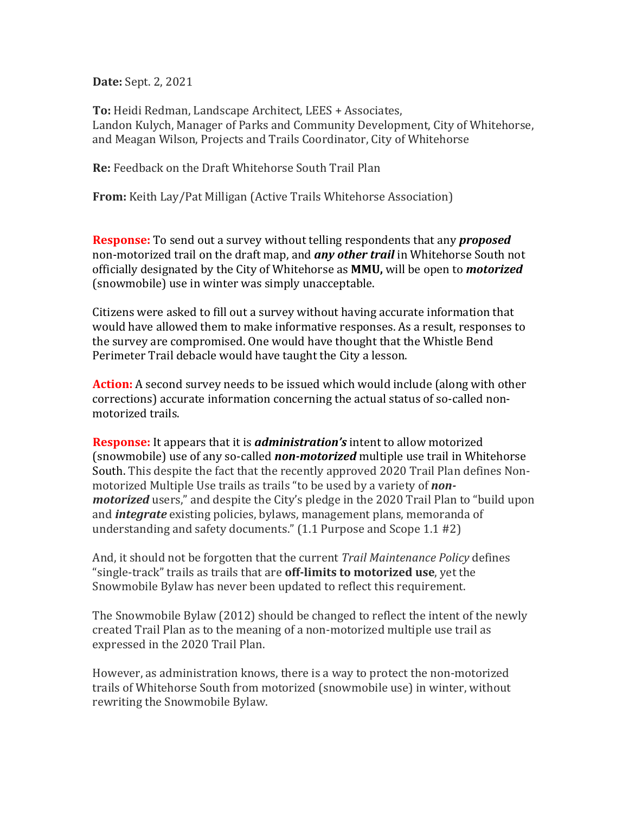**Date:** Sept. 2, 2021

**To:** Heidi Redman, Landscape Architect, LEES + Associates, Landon Kulych, Manager of Parks and Community Development, City of Whitehorse, and Meagan Wilson, Projects and Trails Coordinator, City of Whitehorse

**Re:** Feedback on the Draft Whitehorse South Trail Plan

**From:** Keith Lay/Pat Milligan (Active Trails Whitehorse Association)

**Response:** To send out a survey without telling respondents that any *proposed* non-motorized trail on the draft map, and **any other trail** in Whitehorse South not officially designated by the City of Whitehorse as **MMU,** will be open to *motorized* (snowmobile) use in winter was simply unacceptable.

Citizens were asked to fill out a survey without having accurate information that would have allowed them to make informative responses. As a result, responses to the survey are compromised. One would have thought that the Whistle Bend Perimeter Trail debacle would have taught the City a lesson.

**Action:** A second survey needs to be issued which would include (along with other corrections) accurate information concerning the actual status of so-called nonmotorized trails.

**Response:** It appears that it is *administration's* intent to allow motorized (snowmobile) use of any so-called **non-motorized** multiple use trail in Whitehorse South. This despite the fact that the recently approved 2020 Trail Plan defines Nonmotorized Multiple Use trails as trails "to be used by a variety of *nonmotorized* users," and despite the City's pledge in the 2020 Trail Plan to "build upon and *integrate* existing policies, bylaws, management plans, memoranda of understanding and safety documents."  $(1.1$  Purpose and Scope  $1.1$  #2)

And, it should not be forgotten that the current *Trail Maintenance Policy* defines "single-track" trails as trails that are **off-limits to motorized use**, yet the Snowmobile Bylaw has never been updated to reflect this requirement.

The Snowmobile Bylaw (2012) should be changed to reflect the intent of the newly created Trail Plan as to the meaning of a non-motorized multiple use trail as expressed in the 2020 Trail Plan.

However, as administration knows, there is a way to protect the non-motorized trails of Whitehorse South from motorized (snowmobile use) in winter, without rewriting the Snowmobile Bylaw.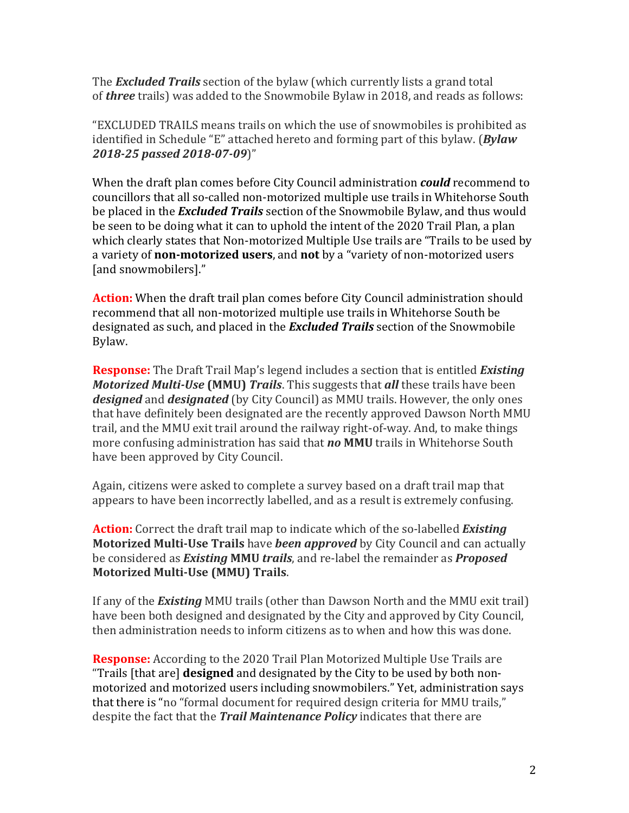The **Excluded Trails** section of the bylaw (which currently lists a grand total of *three* trails) was added to the Snowmobile Bylaw in 2018, and reads as follows:

"EXCLUDED TRAILS means trails on which the use of snowmobiles is prohibited as identified in Schedule "E" attached hereto and forming part of this bylaw. (*Bylaw 2018-25 passed 2018-07-09*)"

When the draft plan comes before City Council administration *could* recommend to councillors that all so-called non-motorized multiple use trails in Whitehorse South be placed in the *Excluded Trails* section of the Snowmobile Bylaw, and thus would be seen to be doing what it can to uphold the intent of the 2020 Trail Plan, a plan which clearly states that Non-motorized Multiple Use trails are "Trails to be used by a variety of **non-motorized users**, and **not** by a "variety of non-motorized users [and snowmobilers]."

**Action:** When the draft trail plan comes before City Council administration should recommend that all non-motorized multiple use trails in Whitehorse South be designated as such, and placed in the **Excluded Trails** section of the Snowmobile Bylaw.

**Response:** The Draft Trail Map's legend includes a section that is entitled *Existing Motorized Multi-Use* (MMU) *Trails*. This suggests that *all* these trails have been **designed** and **designated** (by City Council) as MMU trails. However, the only ones that have definitely been designated are the recently approved Dawson North MMU trail, and the MMU exit trail around the railway right-of-way. And, to make things more confusing administration has said that **no MMU** trails in Whitehorse South have been approved by City Council.

Again, citizens were asked to complete a survey based on a draft trail map that appears to have been incorrectly labelled, and as a result is extremely confusing.

**Action:** Correct the draft trail map to indicate which of the so-labelled *Existing* **Motorized Multi-Use Trails** have *been approved* by City Council and can actually be considered as *Existing* MMU *trails*, and re-label the remainder as *Proposed* **Motorized Multi-Use (MMU) Trails.** 

If any of the **Existing** MMU trails (other than Dawson North and the MMU exit trail) have been both designed and designated by the City and approved by City Council, then administration needs to inform citizens as to when and how this was done.

**Response:** According to the 2020 Trail Plan Motorized Multiple Use Trails are "Trails [that are] **designed** and designated by the City to be used by both nonmotorized and motorized users including snowmobilers." Yet, administration says that there is "no "formal document for required design criteria for MMU trails," despite the fact that the *Trail Maintenance Policy* indicates that there are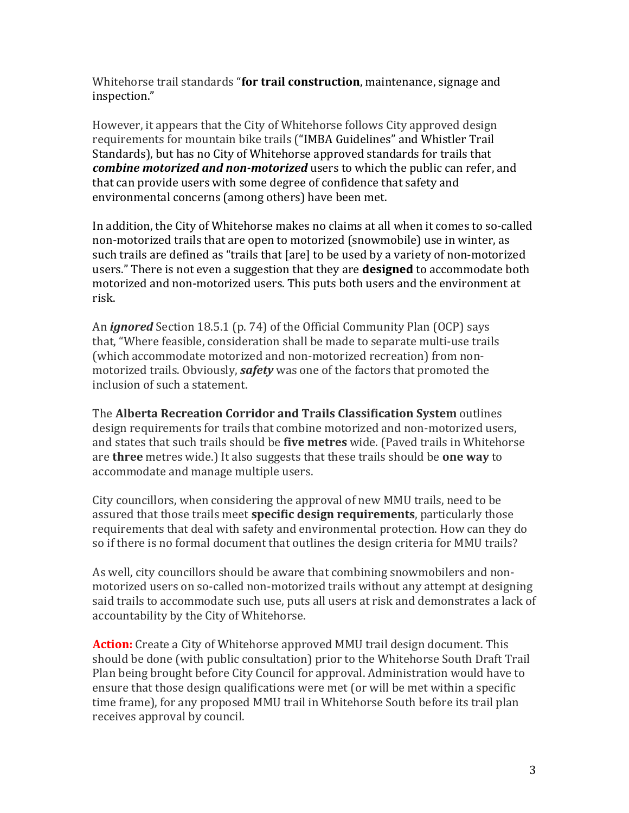Whitehorse trail standards "**for trail construction**, maintenance, signage and inspection." 

However, it appears that the City of Whitehorse follows City approved design requirements for mountain bike trails ("IMBA Guidelines" and Whistler Trail Standards), but has no City of Whitehorse approved standards for trails that *combine motorized and non-motorized* users to which the public can refer, and that can provide users with some degree of confidence that safety and environmental concerns (among others) have been met.

In addition, the City of Whitehorse makes no claims at all when it comes to so-called non-motorized trails that are open to motorized (snowmobile) use in winter, as such trails are defined as "trails that [are] to be used by a variety of non-motorized users." There is not even a suggestion that they are **designed** to accommodate both motorized and non-motorized users. This puts both users and the environment at risk. 

An *ignored* Section 18.5.1 (p. 74) of the Official Community Plan (OCP) says that, "Where feasible, consideration shall be made to separate multi-use trails (which accommodate motorized and non-motorized recreation) from nonmotorized trails. Obviously, *safety* was one of the factors that promoted the inclusion of such a statement.

**The Alberta Recreation Corridor and Trails Classification System outlines** design requirements for trails that combine motorized and non-motorized users, and states that such trails should be **five metres** wide. (Paved trails in Whitehorse are **three** metres wide.) It also suggests that these trails should be **one way** to accommodate and manage multiple users.

City councillors, when considering the approval of new MMU trails, need to be assured that those trails meet **specific design requirements**, particularly those requirements that deal with safety and environmental protection. How can they do so if there is no formal document that outlines the design criteria for MMU trails?

As well, city councillors should be aware that combining snowmobilers and nonmotorized users on so-called non-motorized trails without any attempt at designing said trails to accommodate such use, puts all users at risk and demonstrates a lack of accountability by the City of Whitehorse.

**Action:** Create a City of Whitehorse approved MMU trail design document. This should be done (with public consultation) prior to the Whitehorse South Draft Trail Plan being brought before City Council for approval. Administration would have to ensure that those design qualifications were met (or will be met within a specific time frame), for any proposed MMU trail in Whitehorse South before its trail plan receives approval by council.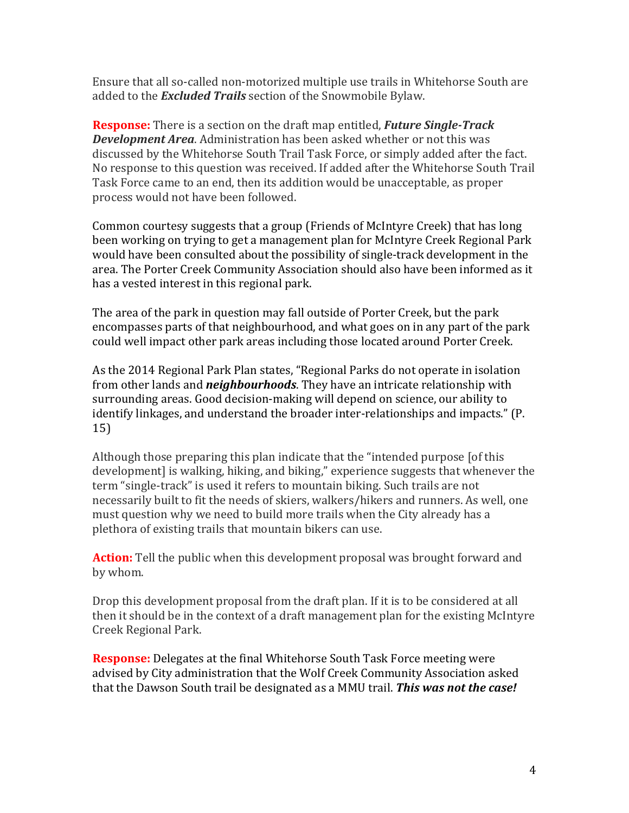Ensure that all so-called non-motorized multiple use trails in Whitehorse South are added to the **Excluded Trails** section of the Snowmobile Bylaw.

**Response:** There is a section on the draft map entitled, *Future Single-Track* **Development Area**. Administration has been asked whether or not this was discussed by the Whitehorse South Trail Task Force, or simply added after the fact. No response to this question was received. If added after the Whitehorse South Trail Task Force came to an end, then its addition would be unacceptable, as proper process would not have been followed.

Common courtesy suggests that a group (Friends of McIntyre Creek) that has long been working on trying to get a management plan for McIntyre Creek Regional Park would have been consulted about the possibility of single-track development in the area. The Porter Creek Community Association should also have been informed as it has a vested interest in this regional park.

The area of the park in question may fall outside of Porter Creek, but the park encompasses parts of that neighbourhood, and what goes on in any part of the park could well impact other park areas including those located around Porter Creek.

As the 2014 Regional Park Plan states, "Regional Parks do not operate in isolation from other lands and *neighbourhoods*. They have an intricate relationship with surrounding areas. Good decision-making will depend on science, our ability to identify linkages, and understand the broader inter-relationships and impacts." (P. 15) 

Although those preparing this plan indicate that the "intended purpose [of this development] is walking, hiking, and biking," experience suggests that whenever the term "single-track" is used it refers to mountain biking. Such trails are not necessarily built to fit the needs of skiers, walkers/hikers and runners. As well, one must question why we need to build more trails when the City already has a plethora of existing trails that mountain bikers can use.

**Action:** Tell the public when this development proposal was brought forward and by whom.

Drop this development proposal from the draft plan. If it is to be considered at all then it should be in the context of a draft management plan for the existing McIntyre Creek Regional Park. 

**Response:** Delegates at the final Whitehorse South Task Force meeting were advised by City administration that the Wolf Creek Community Association asked that the Dawson South trail be designated as a MMU trail. **This was not the case!**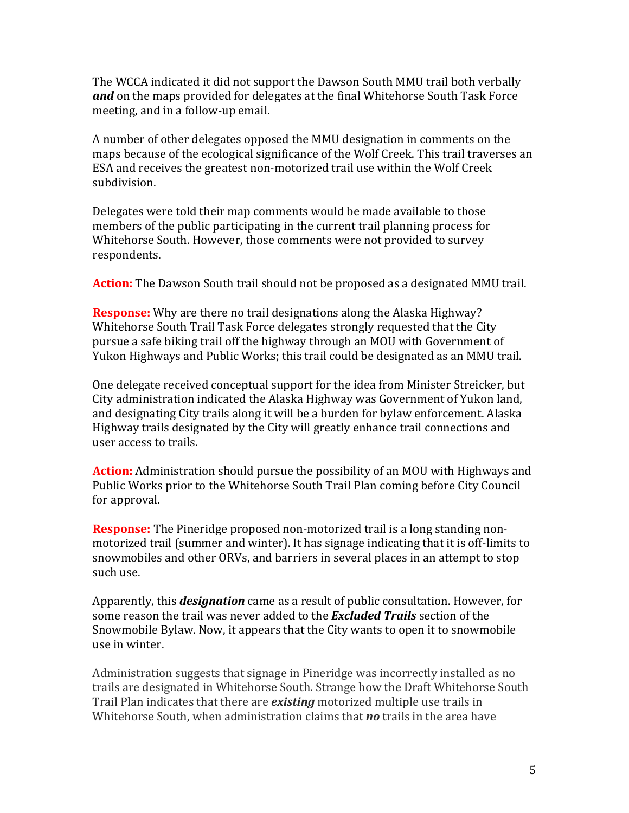The WCCA indicated it did not support the Dawson South MMU trail both verbally and on the maps provided for delegates at the final Whitehorse South Task Force meeting, and in a follow-up email.

A number of other delegates opposed the MMU designation in comments on the maps because of the ecological significance of the Wolf Creek. This trail traverses an ESA and receives the greatest non-motorized trail use within the Wolf Creek subdivision. 

Delegates were told their map comments would be made available to those members of the public participating in the current trail planning process for Whitehorse South. However, those comments were not provided to survey respondents. 

**Action:** The Dawson South trail should not be proposed as a designated MMU trail.

**Response:** Why are there no trail designations along the Alaska Highway? Whitehorse South Trail Task Force delegates strongly requested that the City pursue a safe biking trail off the highway through an MOU with Government of Yukon Highways and Public Works; this trail could be designated as an MMU trail.

One delegate received conceptual support for the idea from Minister Streicker, but City administration indicated the Alaska Highway was Government of Yukon land, and designating City trails along it will be a burden for bylaw enforcement. Alaska Highway trails designated by the City will greatly enhance trail connections and user access to trails.

**Action:** Administration should pursue the possibility of an MOU with Highways and Public Works prior to the Whitehorse South Trail Plan coming before City Council for approval.

**Response:** The Pineridge proposed non-motorized trail is a long standing nonmotorized trail (summer and winter). It has signage indicating that it is off-limits to snowmobiles and other ORVs, and barriers in several places in an attempt to stop such use.

Apparently, this *designation* came as a result of public consultation. However, for some reason the trail was never added to the **Excluded Trails** section of the Snowmobile Bylaw. Now, it appears that the City wants to open it to snowmobile use in winter. 

Administration suggests that signage in Pineridge was incorrectly installed as no trails are designated in Whitehorse South. Strange how the Draft Whitehorse South Trail Plan indicates that there are *existing* motorized multiple use trails in Whitehorse South, when administration claims that **no** trails in the area have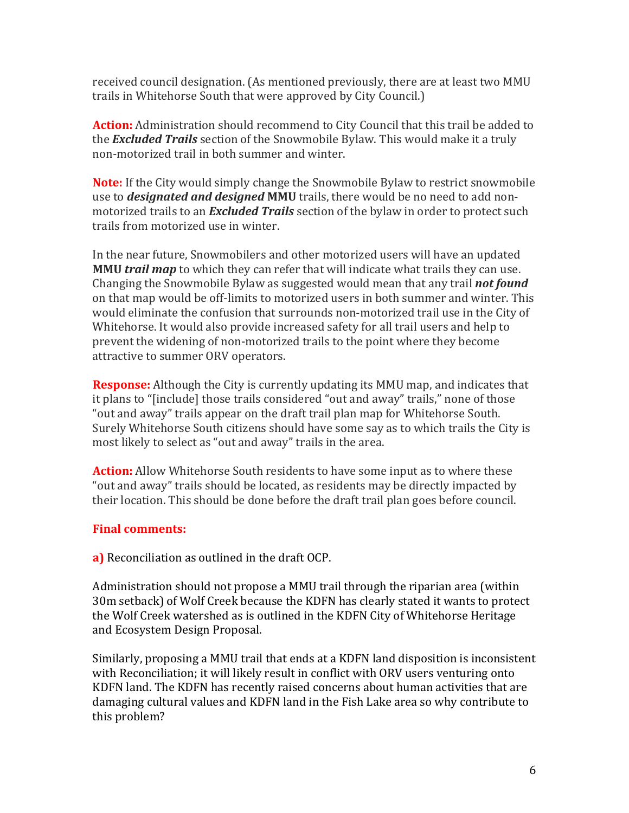received council designation. (As mentioned previously, there are at least two MMU trails in Whitehorse South that were approved by City Council.)

**Action:** Administration should recommend to City Council that this trail be added to the **Excluded Trails** section of the Snowmobile Bylaw. This would make it a truly non-motorized trail in both summer and winter.

**Note:** If the City would simply change the Snowmobile Bylaw to restrict snowmobile use to *designated and designed* **MMU** trails, there would be no need to add nonmotorized trails to an *Excluded Trails* section of the bylaw in order to protect such trails from motorized use in winter.

In the near future. Snowmobilers and other motorized users will have an updated **MMU** *trail* map to which they can refer that will indicate what trails they can use. Changing the Snowmobile Bylaw as suggested would mean that any trail *not found* on that map would be off-limits to motorized users in both summer and winter. This would eliminate the confusion that surrounds non-motorized trail use in the City of Whitehorse. It would also provide increased safety for all trail users and help to prevent the widening of non-motorized trails to the point where they become attractive to summer ORV operators.

**Response:** Although the City is currently updating its MMU map, and indicates that it plans to "[include] those trails considered "out and away" trails," none of those "out and away" trails appear on the draft trail plan map for Whitehorse South. Surely Whitehorse South citizens should have some say as to which trails the City is most likely to select as "out and away" trails in the area.

**Action:** Allow Whitehorse South residents to have some input as to where these "out and away" trails should be located, as residents may be directly impacted by their location. This should be done before the draft trail plan goes before council.

## **Final comments:**

**a)** Reconciliation as outlined in the draft OCP.

Administration should not propose a MMU trail through the riparian area (within 30m setback) of Wolf Creek because the KDFN has clearly stated it wants to protect the Wolf Creek watershed as is outlined in the KDFN City of Whitehorse Heritage and Ecosystem Design Proposal.

Similarly, proposing a MMU trail that ends at a KDFN land disposition is inconsistent with Reconciliation; it will likely result in conflict with ORV users venturing onto KDFN land. The KDFN has recently raised concerns about human activities that are damaging cultural values and KDFN land in the Fish Lake area so why contribute to this problem?